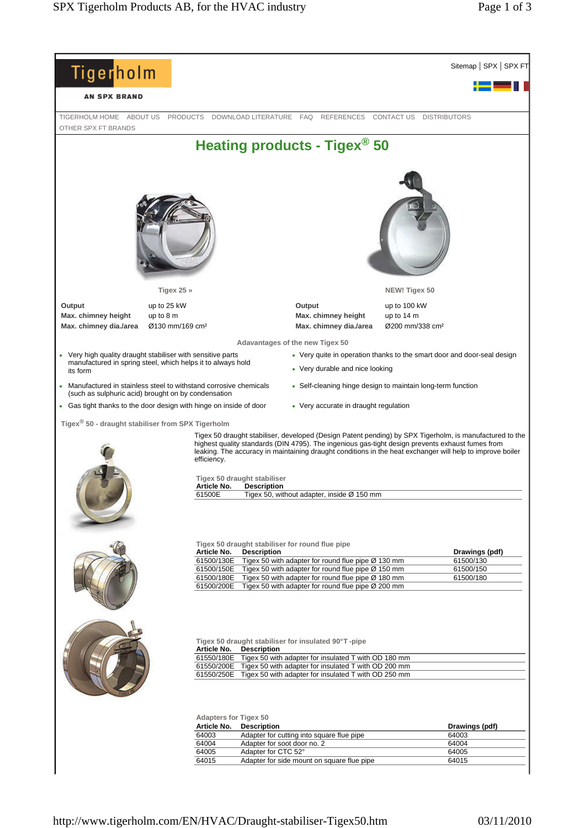